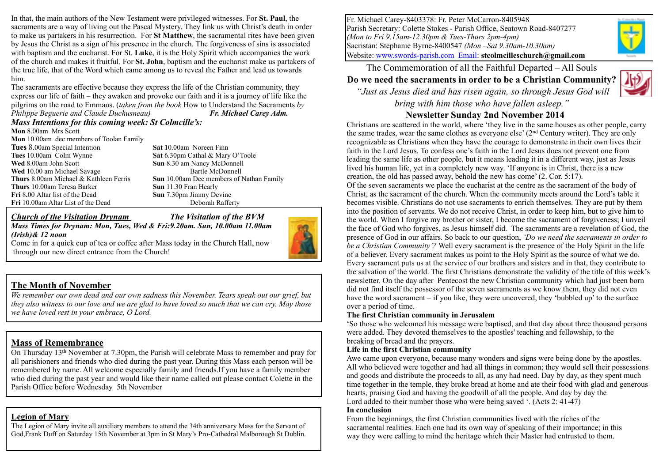In that, the main authors of the New Testament were privileged witnesses. For **St. Paul**, the sacraments are a way of living out the Pascal Mystery. They link us with Christ's death in order to make us partakers in his resurrection. For **St Matthew**, the sacramental rites have been given by Jesus the Christ as a sign of his presence in the church. The forgiveness of sins is associated with baptism and the eucharist. For St. **Luke**, it is the Holy Spirit which accompanies the work of the church and makes it fruitful. For **St. John**, baptism and the eucharist make us partakers of the true life, that of the Word which came among us to reveal the Father and lead us towards him.

The sacraments are effective because they express the life of the Christian community, they express our life of faith – they awaken and provoke our faith and it is a journey of life like the pilgrims on the road to Emmaus. (*taken from the book* How to Understand the Sacraments *by Philippe Beguerie and Claude Duchusneau) Fr. Michael Carey Adm.*

## *Mass Intentions for this coming week: St Colmcille's:*

**Mon** 8.00am Mrs Scott **Mon** 10.00am dec members of Toolan Family **Tues** 8.00am Special Intention **Sat 1**0.00am Noreen Finn **Tues** 10.00am Colm Wynne **Sat** 6.30pm Cathal & Mary O'Toole **Wed** 8.00am John Scott **Sun** 8.30 am Nancy McDonnell Wed 10.00 am Michael Savage Bartle McDonnell **Thurs** 8.00am Michael & Kathleen Ferris **Sun** 10.00am Dec members of Nathan Family **Thurs** 10.00am Teresa Barker **Sun** 11.30 Fran Hearly **Fri** 8**.**00 Altar list of the Dead **Sun** 7.30pm Jimmy Devine **Fri** 10.00am Altar List of the Dead Deborah Rafferty

#### *Church of the Visitation Drynam**The Visitation of the BVM Mass Times for Drynam: Mon, Tues, Wed & Fri:9.20am. Sun, 10.00am 11.00am (Irish)& 12 noon*



Come in for a quick cup of tea or coffee after Mass today in the Church Hall, now through our new direct entrance from the Church!

### **The Month of November**

*We remember our own dead and our own sadness this November. Tears speak out our grief, but they also witness to our love and we are glad to have loved so much that we can cry. May those we have loved rest in your embrace, O Lord.* 

### **Mass of Remembrance**

On Thursday 13th November at 7.30pm, the Parish will celebrate Mass to remember and pray for all parishioners and friends who died during the past year. During this Mass each person will be remembered by name. All welcome especially family and friends.If you have a family member who died during the past year and would like their name called out please contact Colette in the Parish Office before Wednesday 5th November

### **Legion of Mary**

The Legion of Mary invite all auxiliary members to attend the 34th anniversary Mass for the Servant of God,Frank Duff on Saturday 15th November at 3pm in St Mary's Pro-Cathedral Malborough St Dublin. Fr. Michael Carey-8403378: Fr. Peter McCarron-8405948 Parish Secretary: Colette Stokes - Parish Office, Seatown Road-8407277 *(Mon to Fri 9.15am-12.30pm & Tues-Thurs 2pm-4pm)* Sacristan: Stephanie Byrne-8400547 *(Mon –Sat 9.30am-10.30am)* Website: [www.swords-parish.com Email:](http://www.swords-parish.com%20%20email) **stcolmcilleschurch@gmail.com**

The Commemoration of all the Faithful Departed – All Souls

# **Do we need the sacraments in order to be a Christian Community?**

 *"Just as Jesus died and has risen again, so through Jesus God will bring with him those who have fallen asleep."* 

## **Newsletter Sunday 2nd November 2014**



#### **The first Christian community in Jerusalem**

'So those who welcomed his message were baptised, and that day about three thousand persons were added. They devoted themselves to the apostles' teaching and fellowship, to the breaking of bread and the prayers.

#### **Life in the first Christian community**

Awe came upon everyone, because many wonders and signs were being done by the apostles. All who believed were together and had all things in common; they would sell their possessions and goods and distribute the proceeds to all, as any had need. Day by day, as they spent much time together in the temple, they broke bread at home and ate their food with glad and generous hearts, praising God and having the goodwill of all the people. And day by day the Lord added to their number those who were being saved '. (Acts 2: 41-47)

#### **In conclusion**

From the beginnings, the first Christian communities lived with the riches of the sacramental realities. Each one had its own way of speaking of their importance; in this way they were calling to mind the heritage which their Master had entrusted to them.